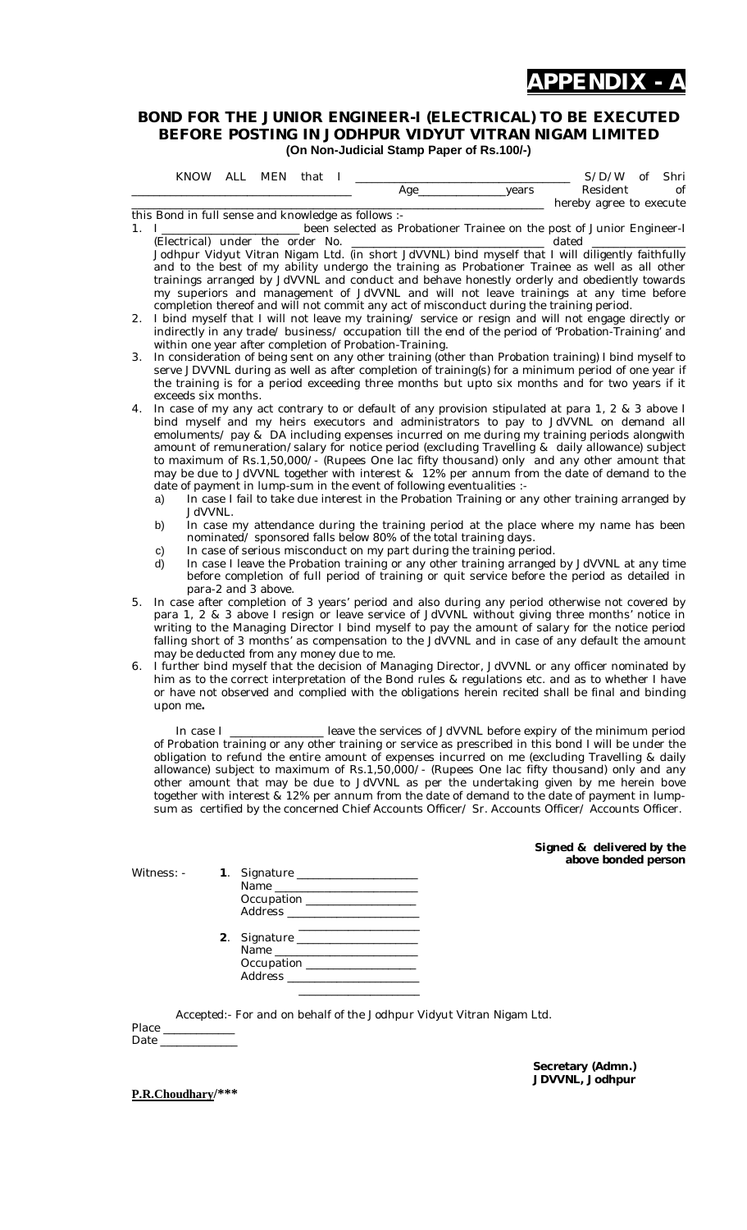

#### **BOND FOR THE JUNIOR ENGINEER-I (ELECTRICAL) TO BE EXECUTED BEFORE POSTING IN JODHPUR VIDYUT VITRAN NIGAM LIMITED (On Non-Judicial Stamp Paper of Rs.100/-)**

|            |                                                                                                                                                                                                   | KNOW ALL | MEN                                                                                        | that                                                               |                                                                                          |        | S/D/W<br>Shri<br>of                                                                                                                                                                                         |  |  |  |  |  |  |  |
|------------|---------------------------------------------------------------------------------------------------------------------------------------------------------------------------------------------------|----------|--------------------------------------------------------------------------------------------|--------------------------------------------------------------------|------------------------------------------------------------------------------------------|--------|-------------------------------------------------------------------------------------------------------------------------------------------------------------------------------------------------------------|--|--|--|--|--|--|--|
|            |                                                                                                                                                                                                   |          |                                                                                            |                                                                    | Age_                                                                                     | _years | Resident<br>of<br>hereby agree to execute                                                                                                                                                                   |  |  |  |  |  |  |  |
|            |                                                                                                                                                                                                   |          |                                                                                            | this Bond in full sense and knowledge as follows :-                |                                                                                          |        |                                                                                                                                                                                                             |  |  |  |  |  |  |  |
| 1. $\perp$ |                                                                                                                                                                                                   |          |                                                                                            |                                                                    |                                                                                          |        | been selected as Probationer Trainee on the post of Junior Engineer-I                                                                                                                                       |  |  |  |  |  |  |  |
|            |                                                                                                                                                                                                   |          | (Electrical) under the order No.                                                           |                                                                    |                                                                                          |        | dated                                                                                                                                                                                                       |  |  |  |  |  |  |  |
|            |                                                                                                                                                                                                   |          |                                                                                            |                                                                    |                                                                                          |        | Jodhpur Vidyut Vitran Nigam Ltd. (in short JdVVNL) bind myself that I will diligently faithfully                                                                                                            |  |  |  |  |  |  |  |
|            |                                                                                                                                                                                                   |          |                                                                                            |                                                                    |                                                                                          |        | and to the best of my ability undergo the training as Probationer Trainee as well as all other<br>trainings arranged by JdVVNL and conduct and behave honestly orderly and obediently towards               |  |  |  |  |  |  |  |
|            |                                                                                                                                                                                                   |          |                                                                                            |                                                                    |                                                                                          |        | my superiors and management of JdVVNL and will not leave trainings at any time before                                                                                                                       |  |  |  |  |  |  |  |
|            |                                                                                                                                                                                                   |          |                                                                                            |                                                                    | completion thereof and will not commit any act of misconduct during the training period. |        |                                                                                                                                                                                                             |  |  |  |  |  |  |  |
| 2.         |                                                                                                                                                                                                   |          |                                                                                            |                                                                    |                                                                                          |        | I bind myself that I will not leave my training/ service or resign and will not engage directly or                                                                                                          |  |  |  |  |  |  |  |
|            |                                                                                                                                                                                                   |          |                                                                                            |                                                                    |                                                                                          |        | indirectly in any trade/ business/ occupation till the end of the period of 'Probation-Training' and                                                                                                        |  |  |  |  |  |  |  |
|            |                                                                                                                                                                                                   |          |                                                                                            |                                                                    | within one year after completion of Probation-Training.                                  |        |                                                                                                                                                                                                             |  |  |  |  |  |  |  |
| 3.         |                                                                                                                                                                                                   |          |                                                                                            |                                                                    |                                                                                          |        | In consideration of being sent on any other training (other than Probation training) I bind myself to<br>serve JDVVNL during as well as after completion of training(s) for a minimum period of one year if |  |  |  |  |  |  |  |
|            | the training is for a period exceeding three months but upto six months and for two years if it                                                                                                   |          |                                                                                            |                                                                    |                                                                                          |        |                                                                                                                                                                                                             |  |  |  |  |  |  |  |
|            | exceeds six months.                                                                                                                                                                               |          |                                                                                            |                                                                    |                                                                                          |        |                                                                                                                                                                                                             |  |  |  |  |  |  |  |
| 4.         |                                                                                                                                                                                                   |          |                                                                                            |                                                                    |                                                                                          |        | In case of my any act contrary to or default of any provision stipulated at para 1, 2 & 3 above I                                                                                                           |  |  |  |  |  |  |  |
|            | bind myself and my heirs executors and administrators to pay to JdVVNL on demand all                                                                                                              |          |                                                                                            |                                                                    |                                                                                          |        |                                                                                                                                                                                                             |  |  |  |  |  |  |  |
|            | emoluments/ pay & DA including expenses incurred on me during my training periods alongwith<br>amount of remuneration/salary for notice period (excluding Travelling & daily allowance) subject   |          |                                                                                            |                                                                    |                                                                                          |        |                                                                                                                                                                                                             |  |  |  |  |  |  |  |
|            |                                                                                                                                                                                                   |          | to maximum of Rs.1,50,000/- (Rupees One lac fifty thousand) only and any other amount that |                                                                    |                                                                                          |        |                                                                                                                                                                                                             |  |  |  |  |  |  |  |
|            |                                                                                                                                                                                                   |          |                                                                                            |                                                                    |                                                                                          |        | may be due to JdVVNL together with interest & 12% per annum from the date of demand to the                                                                                                                  |  |  |  |  |  |  |  |
|            |                                                                                                                                                                                                   |          |                                                                                            |                                                                    | date of payment in lump-sum in the event of following eventualities :-                   |        |                                                                                                                                                                                                             |  |  |  |  |  |  |  |
|            | In case I fail to take due interest in the Probation Training or any other training arranged by<br>a)                                                                                             |          |                                                                                            |                                                                    |                                                                                          |        |                                                                                                                                                                                                             |  |  |  |  |  |  |  |
|            |                                                                                                                                                                                                   | JdVVNL.  |                                                                                            |                                                                    |                                                                                          |        |                                                                                                                                                                                                             |  |  |  |  |  |  |  |
|            | In case my attendance during the training period at the place where my name has been<br>b)<br>nominated/ sponsored falls below 80% of the total training days.                                    |          |                                                                                            |                                                                    |                                                                                          |        |                                                                                                                                                                                                             |  |  |  |  |  |  |  |
|            | In case of serious misconduct on my part during the training period.<br>C)                                                                                                                        |          |                                                                                            |                                                                    |                                                                                          |        |                                                                                                                                                                                                             |  |  |  |  |  |  |  |
|            | In case I leave the Probation training or any other training arranged by JdVVNL at any time<br>d)                                                                                                 |          |                                                                                            |                                                                    |                                                                                          |        |                                                                                                                                                                                                             |  |  |  |  |  |  |  |
|            |                                                                                                                                                                                                   |          |                                                                                            |                                                                    |                                                                                          |        | before completion of full period of training or quit service before the period as detailed in                                                                                                               |  |  |  |  |  |  |  |
|            |                                                                                                                                                                                                   |          | para-2 and 3 above.                                                                        |                                                                    |                                                                                          |        |                                                                                                                                                                                                             |  |  |  |  |  |  |  |
| 5.         | In case after completion of 3 years' period and also during any period otherwise not covered by<br>para 1, 2 & 3 above I resign or leave service of JdVVNL without giving three months' notice in |          |                                                                                            |                                                                    |                                                                                          |        |                                                                                                                                                                                                             |  |  |  |  |  |  |  |
|            |                                                                                                                                                                                                   |          |                                                                                            |                                                                    |                                                                                          |        | writing to the Managing Director I bind myself to pay the amount of salary for the notice period                                                                                                            |  |  |  |  |  |  |  |
|            |                                                                                                                                                                                                   |          |                                                                                            |                                                                    |                                                                                          |        | falling short of 3 months' as compensation to the JdVVNL and in case of any default the amount                                                                                                              |  |  |  |  |  |  |  |
|            | may be deducted from any money due to me.                                                                                                                                                         |          |                                                                                            |                                                                    |                                                                                          |        |                                                                                                                                                                                                             |  |  |  |  |  |  |  |
| 6.         |                                                                                                                                                                                                   |          |                                                                                            |                                                                    |                                                                                          |        | I further bind myself that the decision of Managing Director, JdVVNL or any officer nominated by                                                                                                            |  |  |  |  |  |  |  |
|            |                                                                                                                                                                                                   |          |                                                                                            |                                                                    |                                                                                          |        | him as to the correct interpretation of the Bond rules & regulations etc. and as to whether I have                                                                                                          |  |  |  |  |  |  |  |
|            | upon me.                                                                                                                                                                                          |          |                                                                                            |                                                                    |                                                                                          |        | or have not observed and complied with the obligations herein recited shall be final and binding                                                                                                            |  |  |  |  |  |  |  |
|            |                                                                                                                                                                                                   |          |                                                                                            |                                                                    |                                                                                          |        |                                                                                                                                                                                                             |  |  |  |  |  |  |  |
|            |                                                                                                                                                                                                   |          |                                                                                            |                                                                    |                                                                                          |        | In case I ___________________ leave the services of JdVVNL before expiry of the minimum period                                                                                                              |  |  |  |  |  |  |  |
|            |                                                                                                                                                                                                   |          |                                                                                            |                                                                    |                                                                                          |        | of Probation training or any other training or service as prescribed in this bond I will be under the                                                                                                       |  |  |  |  |  |  |  |
|            |                                                                                                                                                                                                   |          |                                                                                            |                                                                    |                                                                                          |        | obligation to refund the entire amount of expenses incurred on me (excluding Travelling & daily                                                                                                             |  |  |  |  |  |  |  |
|            |                                                                                                                                                                                                   |          |                                                                                            |                                                                    |                                                                                          |        | allowance) subject to maximum of Rs.1,50,000/- (Rupees One lac fifty thousand) only and any                                                                                                                 |  |  |  |  |  |  |  |
|            |                                                                                                                                                                                                   |          |                                                                                            |                                                                    |                                                                                          |        | other amount that may be due to JdVVNL as per the undertaking given by me herein bove<br>together with interest & 12% per annum from the date of demand to the date of payment in lump-                     |  |  |  |  |  |  |  |
|            |                                                                                                                                                                                                   |          |                                                                                            |                                                                    |                                                                                          |        | sum as certified by the concerned Chief Accounts Officer/ Sr. Accounts Officer/ Accounts Officer.                                                                                                           |  |  |  |  |  |  |  |
|            |                                                                                                                                                                                                   |          |                                                                                            |                                                                    |                                                                                          |        |                                                                                                                                                                                                             |  |  |  |  |  |  |  |
|            |                                                                                                                                                                                                   |          |                                                                                            |                                                                    |                                                                                          |        |                                                                                                                                                                                                             |  |  |  |  |  |  |  |
|            |                                                                                                                                                                                                   |          |                                                                                            |                                                                    |                                                                                          |        | Signed & delivered by the                                                                                                                                                                                   |  |  |  |  |  |  |  |
|            | Witness: -                                                                                                                                                                                        |          |                                                                                            | 1. Signature _____________________                                 |                                                                                          |        | above bonded person                                                                                                                                                                                         |  |  |  |  |  |  |  |
|            |                                                                                                                                                                                                   |          |                                                                                            | Name ____________________________                                  |                                                                                          |        |                                                                                                                                                                                                             |  |  |  |  |  |  |  |
|            |                                                                                                                                                                                                   |          |                                                                                            | Occupation _________________                                       |                                                                                          |        |                                                                                                                                                                                                             |  |  |  |  |  |  |  |
|            |                                                                                                                                                                                                   |          |                                                                                            | Address _________________________                                  |                                                                                          |        |                                                                                                                                                                                                             |  |  |  |  |  |  |  |
|            |                                                                                                                                                                                                   |          |                                                                                            | <u> 1989 - Johann John Stone, mensk politik fotograf (d. 1989)</u> |                                                                                          |        |                                                                                                                                                                                                             |  |  |  |  |  |  |  |
|            |                                                                                                                                                                                                   |          |                                                                                            |                                                                    |                                                                                          |        |                                                                                                                                                                                                             |  |  |  |  |  |  |  |
|            |                                                                                                                                                                                                   |          |                                                                                            | Occupation ________________                                        |                                                                                          |        |                                                                                                                                                                                                             |  |  |  |  |  |  |  |
|            |                                                                                                                                                                                                   |          |                                                                                            | Address _________________________                                  |                                                                                          |        |                                                                                                                                                                                                             |  |  |  |  |  |  |  |
|            |                                                                                                                                                                                                   |          |                                                                                            |                                                                    |                                                                                          |        |                                                                                                                                                                                                             |  |  |  |  |  |  |  |
|            |                                                                                                                                                                                                   |          |                                                                                            |                                                                    |                                                                                          |        |                                                                                                                                                                                                             |  |  |  |  |  |  |  |
|            |                                                                                                                                                                                                   |          |                                                                                            |                                                                    | Accepted:- For and on behalf of the Jodhpur Vidyut Vitran Nigam Ltd.                     |        |                                                                                                                                                                                                             |  |  |  |  |  |  |  |
|            | Place __________<br>Date and the state of the state of the state of the state of the state of the state of the state of the state o                                                               |          |                                                                                            |                                                                    |                                                                                          |        |                                                                                                                                                                                                             |  |  |  |  |  |  |  |
|            |                                                                                                                                                                                                   |          |                                                                                            |                                                                    |                                                                                          |        |                                                                                                                                                                                                             |  |  |  |  |  |  |  |
|            |                                                                                                                                                                                                   |          |                                                                                            |                                                                    |                                                                                          |        |                                                                                                                                                                                                             |  |  |  |  |  |  |  |

**Secretary (Admn.) JDVVNL, Jodhpur**

**P.R.Choudhary/\*\*\***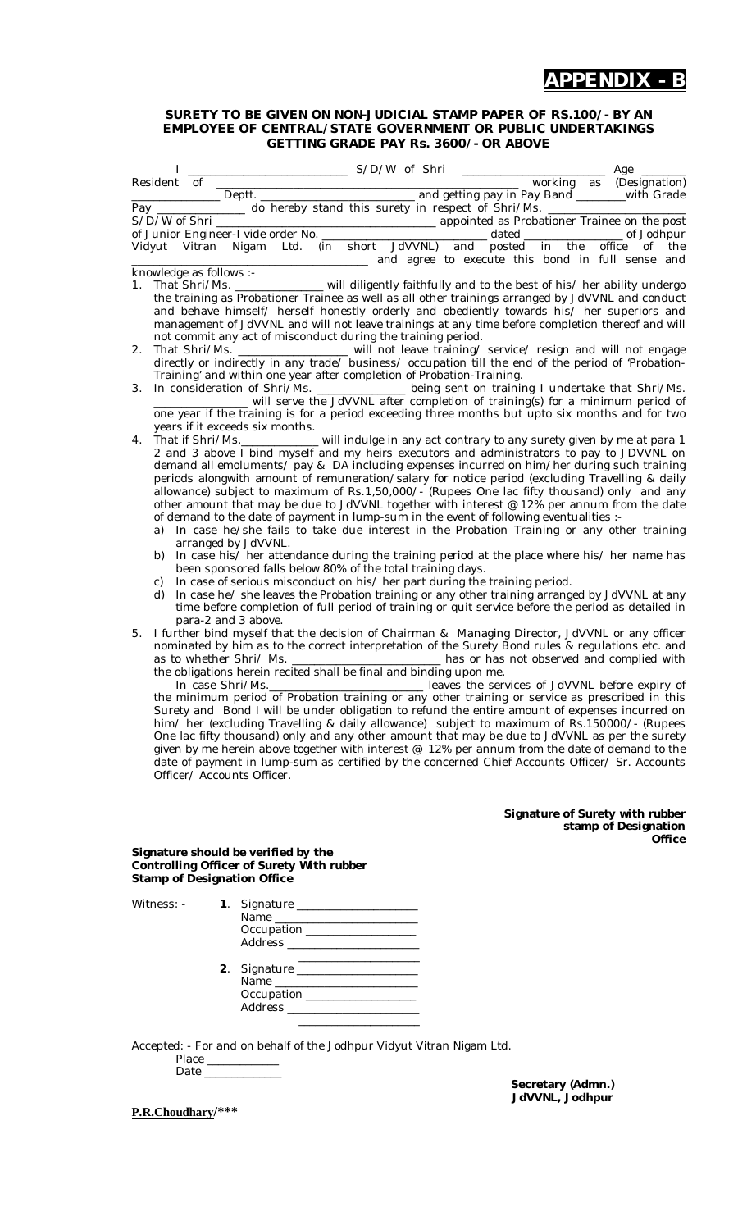### **APPENDIX - B**

#### **SURETY TO BE GIVEN ON NON-JUDICIAL STAMP PAPER OF RS.100/- BY AN EMPLOYEE OF CENTRAL/STATE GOVERNMENT OR PUBLIC UNDERTAKINGS GETTING GRADE PAY Rs. 3600/- OR ABOVE**

|    |                |             | $S/D/W$ of Shri                                                                                                                                                                                                                                                                                                                                                                                                                                                                                                                                                                                                                                                                                                                                                                                                                                                                                                                                                          |                                                  |                                         |                                           |  |  |                        |  | ______ Age _____                                        |               |
|----|----------------|-------------|--------------------------------------------------------------------------------------------------------------------------------------------------------------------------------------------------------------------------------------------------------------------------------------------------------------------------------------------------------------------------------------------------------------------------------------------------------------------------------------------------------------------------------------------------------------------------------------------------------------------------------------------------------------------------------------------------------------------------------------------------------------------------------------------------------------------------------------------------------------------------------------------------------------------------------------------------------------------------|--------------------------------------------------|-----------------------------------------|-------------------------------------------|--|--|------------------------|--|---------------------------------------------------------|---------------|
|    |                | Resident of |                                                                                                                                                                                                                                                                                                                                                                                                                                                                                                                                                                                                                                                                                                                                                                                                                                                                                                                                                                          |                                                  |                                         |                                           |  |  |                        |  | working as (Designation)                                |               |
|    |                |             | Letting pay in Pay Band Letting Community Crack Crack<br>Pay _______________ do hereby stand this surety in respect of Shri/Ms. ________                                                                                                                                                                                                                                                                                                                                                                                                                                                                                                                                                                                                                                                                                                                                                                                                                                 |                                                  |                                         |                                           |  |  |                        |  |                                                         |               |
|    |                |             |                                                                                                                                                                                                                                                                                                                                                                                                                                                                                                                                                                                                                                                                                                                                                                                                                                                                                                                                                                          |                                                  |                                         |                                           |  |  |                        |  |                                                         |               |
|    |                |             |                                                                                                                                                                                                                                                                                                                                                                                                                                                                                                                                                                                                                                                                                                                                                                                                                                                                                                                                                                          |                                                  |                                         |                                           |  |  |                        |  |                                                         |               |
|    |                |             | Vidyut Vitran Nigam Ltd. (in short JdVVNL) and posted in the office of the                                                                                                                                                                                                                                                                                                                                                                                                                                                                                                                                                                                                                                                                                                                                                                                                                                                                                               | and agree to execute this bond in full sense and |                                         |                                           |  |  |                        |  |                                                         |               |
|    |                |             | knowledge as follows :-                                                                                                                                                                                                                                                                                                                                                                                                                                                                                                                                                                                                                                                                                                                                                                                                                                                                                                                                                  |                                                  |                                         |                                           |  |  |                        |  |                                                         |               |
| 1. |                |             | That Shri/Ms. _______________ will diligently faithfully and to the best of his/ her ability undergo<br>the training as Probationer Trainee as well as all other trainings arranged by JdVVNL and conduct<br>and behave himself/ herself honestly orderly and obediently towards his/ her superiors and<br>management of JdVVNL and will not leave trainings at any time before completion thereof and will                                                                                                                                                                                                                                                                                                                                                                                                                                                                                                                                                              |                                                  |                                         |                                           |  |  |                        |  |                                                         |               |
| 2. |                |             | not commit any act of misconduct during the training period.<br>That Shri/Ms. _________________ will not leave training/ service/ resign and will not engage directly or indirectly in any trade/ business/ occupation till the end of the period of 'Probation-                                                                                                                                                                                                                                                                                                                                                                                                                                                                                                                                                                                                                                                                                                         |                                                  |                                         |                                           |  |  |                        |  |                                                         |               |
| 3. |                |             | Training' and within one year after completion of Probation-Training.<br>In consideration of Shri/Ms. ______________ being sent on training I undertake that Shri/Ms.                                                                                                                                                                                                                                                                                                                                                                                                                                                                                                                                                                                                                                                                                                                                                                                                    |                                                  |                                         |                                           |  |  |                        |  |                                                         |               |
|    |                |             | will serve the JdVVNL after completion of training(s) for a minimum period of<br>one year if the training is for a period exceeding three months but upto six months and for two                                                                                                                                                                                                                                                                                                                                                                                                                                                                                                                                                                                                                                                                                                                                                                                         |                                                  |                                         |                                           |  |  |                        |  |                                                         |               |
| 4. |                |             | years if it exceeds six months.<br>2 and 3 above I bind myself and my heirs executors and administrators to pay to JDVVNL on<br>demand all emoluments/ pay & DA including expenses incurred on him/her during such training<br>periods alongwith amount of remuneration/salary for notice period (excluding Travelling & daily<br>allowance) subject to maximum of Rs.1,50,000/- (Rupees One lac fifty thousand) only and any<br>other amount that may be due to JdVVNL together with interest @ 12% per annum from the date<br>of demand to the date of payment in lump-sum in the event of following eventualities :-<br>a) In case he/she fails to take due interest in the Probation Training or any other training<br>arranged by JdVVNL.                                                                                                                                                                                                                           |                                                  |                                         |                                           |  |  |                        |  |                                                         |               |
|    | b)<br>C)<br>d) |             | In case his/ her attendance during the training period at the place where his/ her name has<br>been sponsored falls below 80% of the total training days.<br>In case of serious misconduct on his/ her part during the training period.<br>In case he/ she leaves the Probation training or any other training arranged by JdVVNL at any<br>time before completion of full period of training or quit service before the period as detailed in<br>para-2 and 3 above.                                                                                                                                                                                                                                                                                                                                                                                                                                                                                                    |                                                  |                                         |                                           |  |  |                        |  |                                                         |               |
| 5. |                |             | I further bind myself that the decision of Chairman & Managing Director, JdVVNL or any officer<br>nominated by him as to the correct interpretation of the Surety Bond rules & regulations etc. and<br>as to whether Shri/ Ms.<br>the obligations herein recited shall be final and binding upon me.<br>In case Shri/Ms.<br>In case Shri/Ms.<br>In case of Probation training or any other training or service as prescribed in this<br>Surety and Bond I will be under obligation to refund the entire amount of expenses incurred on<br>him/ her (excluding Travelling & daily allowance) subject to maximum of Rs.150000/- (Rupees<br>One lac fifty thousand) only and any other amount that may be due to JdVVNL as per the surety<br>given by me herein above together with interest @ 12% per annum from the date of demand to the<br>date of payment in lump-sum as certified by the concerned Chief Accounts Officer/ Sr. Accounts<br>Officer/ Accounts Officer. |                                                  |                                         | has or has not observed and complied with |  |  |                        |  |                                                         |               |
|    |                |             |                                                                                                                                                                                                                                                                                                                                                                                                                                                                                                                                                                                                                                                                                                                                                                                                                                                                                                                                                                          |                                                  |                                         |                                           |  |  |                        |  | Signature of Surety with rubber<br>stamp of Designation | <b>Office</b> |
|    |                |             | Signature should be verified by the<br>Controlling Officer of Surety With rubber<br><b>Stamp of Designation Office</b>                                                                                                                                                                                                                                                                                                                                                                                                                                                                                                                                                                                                                                                                                                                                                                                                                                                   |                                                  |                                         |                                           |  |  |                        |  |                                                         |               |
|    | Witness: -     |             | 1. Signature ____________________<br>Occupation ________________                                                                                                                                                                                                                                                                                                                                                                                                                                                                                                                                                                                                                                                                                                                                                                                                                                                                                                         |                                                  |                                         |                                           |  |  |                        |  |                                                         |               |
|    |                |             | 2. Signature _____________________<br>Occupation ___________________                                                                                                                                                                                                                                                                                                                                                                                                                                                                                                                                                                                                                                                                                                                                                                                                                                                                                                     | Address ________________________                 | <u> 1990 - Johann Barbara, martin a</u> |                                           |  |  |                        |  |                                                         |               |
|    |                |             | Accepted: - For and on behalf of the Jodhpur Vidyut Vitran Nigam Ltd.<br>Place __________                                                                                                                                                                                                                                                                                                                                                                                                                                                                                                                                                                                                                                                                                                                                                                                                                                                                                |                                                  |                                         |                                           |  |  | $Constant(0, d_{max})$ |  |                                                         |               |

**P.R.Choudhary/\*\*\***

**Secretary (Admn.) JdVVNL, Jodhpur**